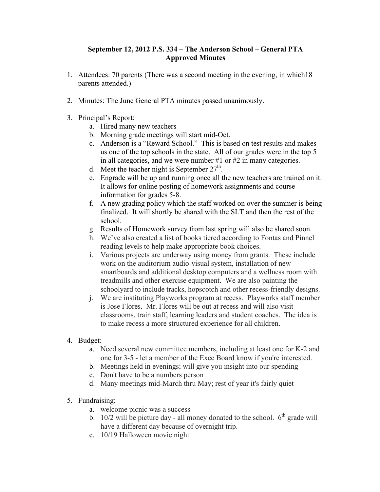## **September 12, 2012 P.S. 334 – The Anderson School – General PTA Approved Minutes**

- 1. Attendees: 70 parents (There was a second meeting in the evening, in which18 parents attended.)
- 2. Minutes: The June General PTA minutes passed unanimously.
- 3. Principal's Report:
	- a. Hired many new teachers
	- b. Morning grade meetings will start mid-Oct.
	- c. Anderson is a "Reward School." This is based on test results and makes us one of the top schools in the state. All of our grades were in the top 5 in all categories, and we were number #1 or #2 in many categories.
	- d. Meet the teacher night is September  $27<sup>th</sup>$ .
	- e. Engrade will be up and running once all the new teachers are trained on it. It allows for online posting of homework assignments and course information for grades 5-8.
	- f. A new grading policy which the staff worked on over the summer is being finalized. It will shortly be shared with the SLT and then the rest of the school.
	- g. Results of Homework survey from last spring will also be shared soon.
	- h. We've also created a list of books tiered according to Fontas and Pinnel reading levels to help make appropriate book choices.
	- i. Various projects are underway using money from grants. These include work on the auditorium audio-visual system, installation of new smartboards and additional desktop computers and a wellness room with treadmills and other exercise equipment. We are also painting the schoolyard to include tracks, hopscotch and other recess-friendly designs.
	- j. We are instituting Playworks program at recess. Playworks staff member is Jose Flores. Mr. Flores will be out at recess and will also visit classrooms, train staff, learning leaders and student coaches. The idea is to make recess a more structured experience for all children.

## 4. Budget:

- a. Need several new committee members, including at least one for K-2 and one for 3-5 - let a member of the Exec Board know if you're interested.
- b. Meetings held in evenings; will give you insight into our spending
- c. Don't have to be a numbers person
- d. Many meetings mid-March thru May; rest of year it's fairly quiet
- 5. Fundraising:
	- a. welcome picnic was a success
	- b. 10/2 will be picture day all money donated to the school.  $6<sup>th</sup>$  grade will have a different day because of overnight trip.
	- c. 10/19 Halloween movie night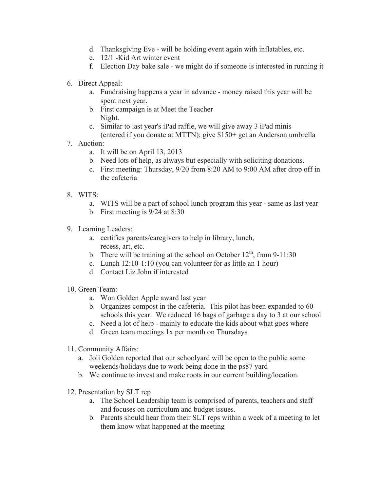- d. Thanksgiving Eve will be holding event again with inflatables, etc.
- e. 12/1 -Kid Art winter event
- f. Election Day bake sale we might do if someone is interested in running it
- 6. Direct Appeal:
	- a. Fundraising happens a year in advance money raised this year will be spent next year.
	- b. First campaign is at Meet the Teacher Night.
	- c. Similar to last year's iPad raffle, we will give away 3 iPad minis (entered if you donate at MTTN); give \$150+ get an Anderson umbrella
- 7. Auction:
	- a. It will be on April 13, 2013
	- b. Need lots of help, as always but especially with soliciting donations.
	- c. First meeting: Thursday, 9/20 from 8:20 AM to 9:00 AM after drop off in the cafeteria
- 8. WITS:
	- a. WITS will be a part of school lunch program this year same as last year
	- b. First meeting is 9/24 at 8:30
- 9. Learning Leaders:
	- a. certifies parents/caregivers to help in library, lunch, recess, art, etc.
	- b. There will be training at the school on October  $12^{th}$ , from 9-11:30
	- c. Lunch 12:10-1:10 (you can volunteer for as little an 1 hour)
	- d. Contact Liz John if interested
- 10. Green Team:
	- a. Won Golden Apple award last year
	- b. Organizes compost in the cafeteria. This pilot has been expanded to 60 schools this year. We reduced 16 bags of garbage a day to 3 at our school
	- c. Need a lot of help mainly to educate the kids about what goes where
	- d. Green team meetings 1x per month on Thursdays
- 11. Community Affairs:
	- a. Joli Golden reported that our schoolyard will be open to the public some weekends/holidays due to work being done in the ps87 yard
	- b. We continue to invest and make roots in our current building/location.
- 12. Presentation by SLT rep
	- a. The School Leadership team is comprised of parents, teachers and staff and focuses on curriculum and budget issues.
	- b. Parents should hear from their SLT reps within a week of a meeting to let them know what happened at the meeting